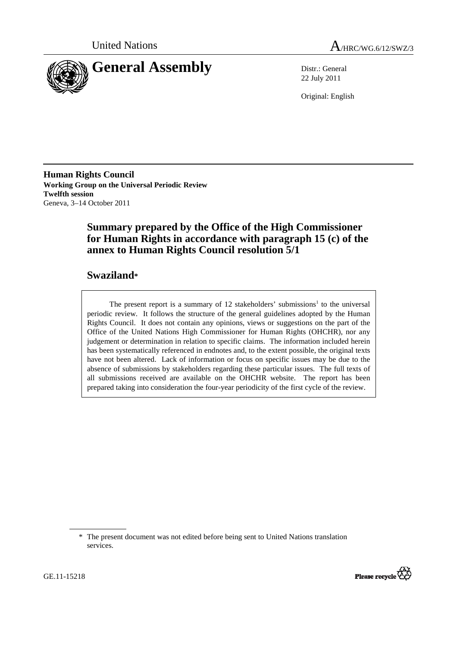



22 July 2011

Original: English

**Human Rights Council Working Group on the Universal Periodic Review Twelfth session**  Geneva, 3–14 October 2011

# **Summary prepared by the Office of the High Commissioner for Human Rights in accordance with paragraph 15 (c) of the annex to Human Rights Council resolution 5/1**

# **Swaziland\***

The present report is a summary of 12 stakeholders' submissions<sup>1</sup> to the universal periodic review. It follows the structure of the general guidelines adopted by the Human Rights Council. It does not contain any opinions, views or suggestions on the part of the Office of the United Nations High Commissioner for Human Rights (OHCHR), nor any judgement or determination in relation to specific claims. The information included herein has been systematically referenced in endnotes and, to the extent possible, the original texts have not been altered. Lack of information or focus on specific issues may be due to the absence of submissions by stakeholders regarding these particular issues. The full texts of all submissions received are available on the OHCHR website. The report has been prepared taking into consideration the four-year periodicity of the first cycle of the review.

<sup>\*</sup> The present document was not edited before being sent to United Nations translation services.

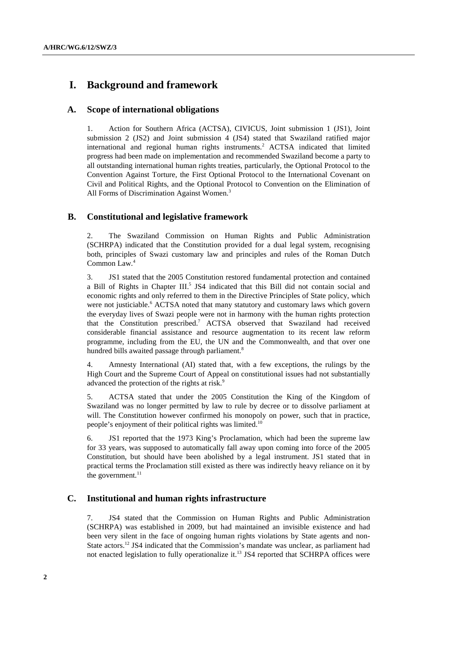# **I. Background and framework**

## **A. Scope of international obligations**

1. Action for Southern Africa (ACTSA), CIVICUS, Joint submission 1 (JS1), Joint submission 2 (JS2) and Joint submission 4 (JS4) stated that Swaziland ratified major international and regional human rights instruments. 2 ACTSA indicated that limited progress had been made on implementation and recommended Swaziland become a party to all outstanding international human rights treaties, particularly, the Optional Protocol to the Convention Against Torture, the First Optional Protocol to the International Covenant on Civil and Political Rights, and the Optional Protocol to Convention on the Elimination of All Forms of Discrimination Against Women.<sup>3</sup>

## **B. Constitutional and legislative framework**

2. The Swaziland Commission on Human Rights and Public Administration (SCHRPA) indicated that the Constitution provided for a dual legal system, recognising both, principles of Swazi customary law and principles and rules of the Roman Dutch Common Law.<sup>4</sup>

3. JS1 stated that the 2005 Constitution restored fundamental protection and contained a Bill of Rights in Chapter III.<sup>5</sup> JS4 indicated that this Bill did not contain social and economic rights and only referred to them in the Directive Principles of State policy, which were not justiciable.<sup>6</sup> ACTSA noted that many statutory and customary laws which govern the everyday lives of Swazi people were not in harmony with the human rights protection that the Constitution prescribed.<sup>7</sup> ACTSA observed that Swaziland had received considerable financial assistance and resource augmentation to its recent law reform programme, including from the EU, the UN and the Commonwealth, and that over one hundred bills awaited passage through parliament.<sup>8</sup>

4. Amnesty International (AI) stated that, with a few exceptions, the rulings by the High Court and the Supreme Court of Appeal on constitutional issues had not substantially advanced the protection of the rights at risk.<sup>9</sup>

5. ACTSA stated that under the 2005 Constitution the King of the Kingdom of Swaziland was no longer permitted by law to rule by decree or to dissolve parliament at will. The Constitution however confirmed his monopoly on power, such that in practice, people's enjoyment of their political rights was limited.<sup>10</sup>

6. JS1 reported that the 1973 King's Proclamation, which had been the supreme law for 33 years, was supposed to automatically fall away upon coming into force of the 2005 Constitution, but should have been abolished by a legal instrument. JS1 stated that in practical terms the Proclamation still existed as there was indirectly heavy reliance on it by the government. $11$ 

## **C. Institutional and human rights infrastructure**

7. JS4 stated that the Commission on Human Rights and Public Administration (SCHRPA) was established in 2009, but had maintained an invisible existence and had been very silent in the face of ongoing human rights violations by State agents and non-State actors.<sup>12</sup> JS4 indicated that the Commission's mandate was unclear, as parliament had not enacted legislation to fully operationalize it.<sup>13</sup> JS4 reported that SCHRPA offices were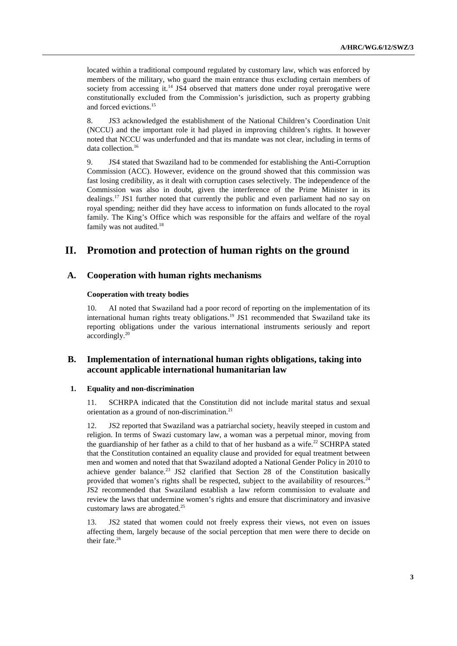located within a traditional compound regulated by customary law, which was enforced by members of the military, who guard the main entrance thus excluding certain members of society from accessing it.<sup>14</sup> JS4 observed that matters done under royal prerogative were constitutionally excluded from the Commission's jurisdiction, such as property grabbing and forced evictions.<sup>15</sup>

8. JS3 acknowledged the establishment of the National Children's Coordination Unit (NCCU) and the important role it had played in improving children's rights. It however noted that NCCU was underfunded and that its mandate was not clear, including in terms of data collection.<sup>16</sup>

9. JS4 stated that Swaziland had to be commended for establishing the Anti-Corruption Commission (ACC). However, evidence on the ground showed that this commission was fast losing credibility, as it dealt with corruption cases selectively. The independence of the Commission was also in doubt, given the interference of the Prime Minister in its dealings.<sup>17</sup> JS1 further noted that currently the public and even parliament had no say on royal spending; neither did they have access to information on funds allocated to the royal family. The King's Office which was responsible for the affairs and welfare of the royal family was not audited.<sup>18</sup>

# **II. Promotion and protection of human rights on the ground**

## **A. Cooperation with human rights mechanisms**

### **Cooperation with treaty bodies**

10. AI noted that Swaziland had a poor record of reporting on the implementation of its international human rights treaty obligations.<sup>19</sup> JS1 recommended that Swaziland take its reporting obligations under the various international instruments seriously and report accordingly.<sup>20</sup>

# **B. Implementation of international human rights obligations, taking into account applicable international humanitarian law**

## **1. Equality and non-discrimination**

11. SCHRPA indicated that the Constitution did not include marital status and sexual orientation as a ground of non-discrimination. $21$ 

12. JS2 reported that Swaziland was a patriarchal society, heavily steeped in custom and religion. In terms of Swazi customary law, a woman was a perpetual minor, moving from the guardianship of her father as a child to that of her husband as a wife.<sup>22</sup> SCHRPA stated that the Constitution contained an equality clause and provided for equal treatment between men and women and noted that that Swaziland adopted a National Gender Policy in 2010 to achieve gender balance.<sup>23</sup> JS2 clarified that Section 28 of the Constitution basically provided that women's rights shall be respected, subject to the availability of resources.<sup>24</sup> JS2 recommended that Swaziland establish a law reform commission to evaluate and review the laws that undermine women's rights and ensure that discriminatory and invasive customary laws are abrogated.<sup>25</sup>

13. JS2 stated that women could not freely express their views, not even on issues affecting them, largely because of the social perception that men were there to decide on their fate.<sup>26</sup>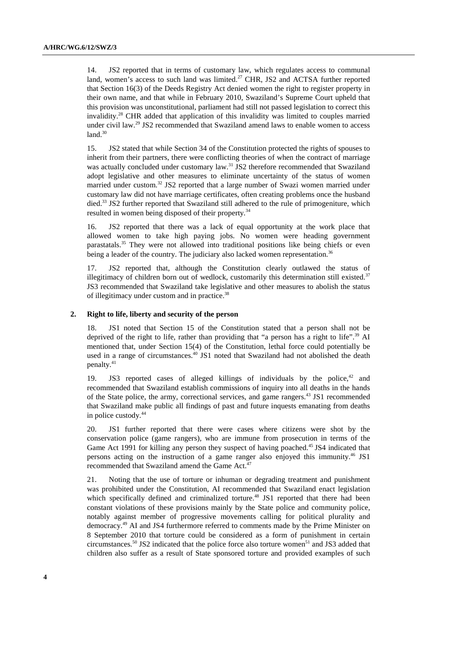14. JS2 reported that in terms of customary law, which regulates access to communal land, women's access to such land was limited.<sup>27</sup> CHR, JS2 and ACTSA further reported that Section 16(3) of the Deeds Registry Act denied women the right to register property in their own name, and that while in February 2010, Swaziland's Supreme Court upheld that this provision was unconstitutional, parliament had still not passed legislation to correct this invalidity.<sup>28</sup> CHR added that application of this invalidity was limited to couples married under civil law.<sup>29</sup> JS2 recommended that Swaziland amend laws to enable women to access  $land<sup>30</sup>$ 

15. JS2 stated that while Section 34 of the Constitution protected the rights of spouses to inherit from their partners, there were conflicting theories of when the contract of marriage was actually concluded under customary law.<sup>31</sup> JS2 therefore recommended that Swaziland adopt legislative and other measures to eliminate uncertainty of the status of women married under custom.<sup>32</sup> JS2 reported that a large number of Swazi women married under customary law did not have marriage certificates, often creating problems once the husband died.<sup>33</sup> JS2 further reported that Swaziland still adhered to the rule of primogeniture, which resulted in women being disposed of their property.<sup>34</sup>

16. JS2 reported that there was a lack of equal opportunity at the work place that allowed women to take high paying jobs. No women were heading government parastatals.<sup>35</sup> They were not allowed into traditional positions like being chiefs or even being a leader of the country. The judiciary also lacked women representation.<sup>36</sup>

17. JS2 reported that, although the Constitution clearly outlawed the status of illegitimacy of children born out of wedlock, customarily this determination still existed. $37$ JS3 recommended that Swaziland take legislative and other measures to abolish the status of illegitimacy under custom and in practice.<sup>38</sup>

### **2. Right to life, liberty and security of the person**

18. JS1 noted that Section 15 of the Constitution stated that a person shall not be deprived of the right to life, rather than providing that "a person has a right to life".<sup>39</sup> AI mentioned that, under Section 15(4) of the Constitution, lethal force could potentially be used in a range of circumstances.<sup>40</sup> JS1 noted that Swaziland had not abolished the death penalty.<sup>41</sup>

19. JS3 reported cases of alleged killings of individuals by the police, $42$  and recommended that Swaziland establish commissions of inquiry into all deaths in the hands of the State police, the army, correctional services, and game rangers.<sup>43</sup> JS1 recommended that Swaziland make public all findings of past and future inquests emanating from deaths in police custody.<sup>44</sup>

20. JS1 further reported that there were cases where citizens were shot by the conservation police (game rangers), who are immune from prosecution in terms of the Game Act 1991 for killing any person they suspect of having poached.<sup>45</sup> JS4 indicated that persons acting on the instruction of a game ranger also enjoyed this immunity.<sup>46</sup> JS1 recommended that Swaziland amend the Game Act.<sup>47</sup>

21. Noting that the use of torture or inhuman or degrading treatment and punishment was prohibited under the Constitution, AI recommended that Swaziland enact legislation which specifically defined and criminalized torture.<sup>48</sup> JS1 reported that there had been constant violations of these provisions mainly by the State police and community police, notably against member of progressive movements calling for political plurality and democracy.<sup>49</sup> AI and JS4 furthermore referred to comments made by the Prime Minister on 8 September 2010 that torture could be considered as a form of punishment in certain circumstances.<sup>50</sup> JS2 indicated that the police force also torture women<sup>51</sup> and JS3 added that children also suffer as a result of State sponsored torture and provided examples of such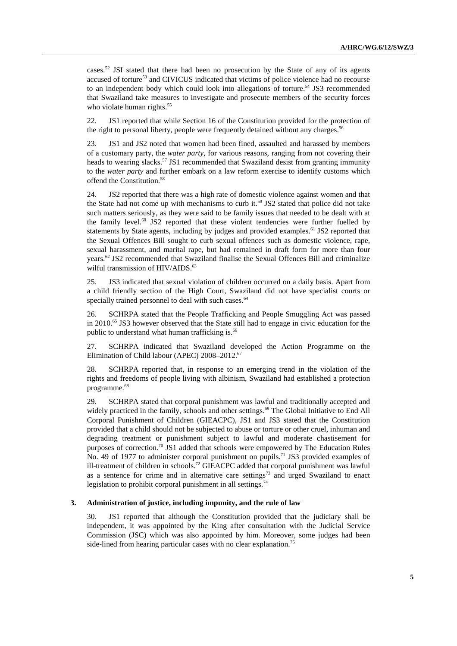cases.<sup>52</sup> JSI stated that there had been no prosecution by the State of any of its agents accused of torture<sup>53</sup> and CIVICUS indicated that victims of police violence had no recourse to an independent body which could look into allegations of torture.<sup>54</sup> JS3 recommended that Swaziland take measures to investigate and prosecute members of the security forces who violate human rights.<sup>55</sup>

22. JS1 reported that while Section 16 of the Constitution provided for the protection of the right to personal liberty, people were frequently detained without any charges.<sup>56</sup>

23. JS1 and JS2 noted that women had been fined, assaulted and harassed by members of a customary party, the *water party*, for various reasons, ranging from not covering their heads to wearing slacks.<sup>57</sup> JS1 recommended that Swaziland desist from granting immunity to the *water party* and further embark on a law reform exercise to identify customs which offend the Constitution.<sup>58</sup>

24. JS2 reported that there was a high rate of domestic violence against women and that the State had not come up with mechanisms to curb it.<sup>59</sup> JS2 stated that police did not take such matters seriously, as they were said to be family issues that needed to be dealt with at the family level. $60$  JS2 reported that these violent tendencies were further fuelled by statements by State agents, including by judges and provided examples.<sup>61</sup> JS2 reported that the Sexual Offences Bill sought to curb sexual offences such as domestic violence, rape, sexual harassment, and marital rape, but had remained in draft form for more than four years.<sup>62</sup> JS2 recommended that Swaziland finalise the Sexual Offences Bill and criminalize wilful transmission of  $HIV/ALDS$ .<sup>63</sup>

25. JS3 indicated that sexual violation of children occurred on a daily basis. Apart from a child friendly section of the High Court, Swaziland did not have specialist courts or specially trained personnel to deal with such cases.<sup>64</sup>

26. SCHRPA stated that the People Trafficking and People Smuggling Act was passed in 2010.<sup>65</sup> JS3 however observed that the State still had to engage in civic education for the public to understand what human trafficking is.<sup>66</sup>

27. SCHRPA indicated that Swaziland developed the Action Programme on the Elimination of Child labour (APEC) 2008–2012.<sup>67</sup>

28. SCHRPA reported that, in response to an emerging trend in the violation of the rights and freedoms of people living with albinism, Swaziland had established a protection programme.<sup>68</sup>

29. SCHRPA stated that corporal punishment was lawful and traditionally accepted and widely practiced in the family, schools and other settings.<sup>69</sup> The Global Initiative to End All Corporal Punishment of Children (GIEACPC), JS1 and JS3 stated that the Constitution provided that a child should not be subjected to abuse or torture or other cruel, inhuman and degrading treatment or punishment subject to lawful and moderate chastisement for purposes of correction.<sup>70</sup> JS1 added that schools were empowered by The Education Rules No. 49 of 1977 to administer corporal punishment on pupils.<sup>71</sup> JS3 provided examples of ill-treatment of children in schools.<sup>72</sup> GIEACPC added that corporal punishment was lawful as a sentence for crime and in alternative care settings<sup>73</sup> and urged Swaziland to enact legislation to prohibit corporal punishment in all settings.<sup>74</sup>

### **3. Administration of justice, including impunity, and the rule of law**

30. JS1 reported that although the Constitution provided that the judiciary shall be independent, it was appointed by the King after consultation with the Judicial Service Commission (JSC) which was also appointed by him. Moreover, some judges had been side-lined from hearing particular cases with no clear explanation.<sup>75</sup>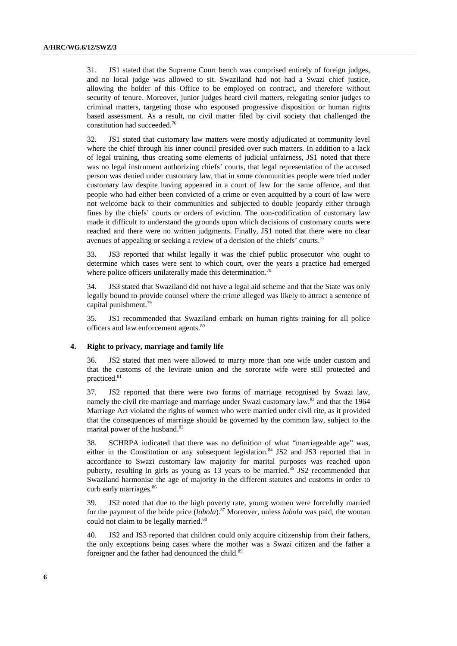31. JS1 stated that the Supreme Court bench was comprised entirely of foreign judges, and no local judge was allowed to sit. Swaziland had not had a Swazi chief justice, allowing the holder of this Office to be employed on contract, and therefore without security of tenure. Moreover, junior judges heard civil matters, relegating senior judges to criminal matters, targeting those who espoused progressive disposition or human rights based assessment. As a result, no civil matter filed by civil society that challenged the constitution had succeeded.<sup>76</sup>

32. JS1 stated that customary law matters were mostly adjudicated at community level where the chief through his inner council presided over such matters. In addition to a lack of legal training, thus creating some elements of judicial unfairness, JS1 noted that there was no legal instrument authorizing chiefs' courts, that legal representation of the accused person was denied under customary law, that in some communities people were tried under customary law despite having appeared in a court of law for the same offence, and that people who had either been convicted of a crime or even acquitted by a court of law were not welcome back to their communities and subjected to double jeopardy either through fines by the chiefs' courts or orders of eviction. The non-codification of customary law made it difficult to understand the grounds upon which decisions of customary courts were reached and there were no written judgments. Finally, JS1 noted that there were no clear avenues of appealing or seeking a review of a decision of the chiefs' courts.<sup>77</sup>

33. JS3 reported that whilst legally it was the chief public prosecutor who ought to determine which cases were sent to which court, over the years a practice had emerged where police officers unilaterally made this determination.<sup>78</sup>

34. JS3 stated that Swaziland did not have a legal aid scheme and that the State was only legally bound to provide counsel where the crime alleged was likely to attract a sentence of capital punishment.<sup>79</sup>

35. JS1 recommended that Swaziland embark on human rights training for all police officers and law enforcement agents.<sup>80</sup>

#### **4. Right to privacy, marriage and family life**

36. JS2 stated that men were allowed to marry more than one wife under custom and that the customs of the levirate union and the sororate wife were still protected and practiced.<sup>81</sup>

37. JS2 reported that there were two forms of marriage recognised by Swazi law, namely the civil rite marriage and marriage under Swazi customary law, $82$  and that the 1964 Marriage Act violated the rights of women who were married under civil rite, as it provided that the consequences of marriage should be governed by the common law, subject to the marital power of the husband.<sup>83</sup>

38. SCHRPA indicated that there was no definition of what "marriageable age" was, either in the Constitution or any subsequent legislation.<sup>84</sup> JS2 and JS3 reported that in accordance to Swazi customary law majority for marital purposes was reached upon puberty, resulting in girls as young as 13 years to be married.<sup>85</sup> JS2 recommended that Swaziland harmonise the age of majority in the different statutes and customs in order to curb early marriages.<sup>86</sup>

39. JS2 noted that due to the high poverty rate, young women were forcefully married for the payment of the bride price (*lobola*).<sup>87</sup> Moreover, unless *lobola* was paid, the woman could not claim to be legally married.<sup>88</sup>

40. JS2 and JS3 reported that children could only acquire citizenship from their fathers, the only exceptions being cases where the mother was a Swazi citizen and the father a foreigner and the father had denounced the child.<sup>89</sup>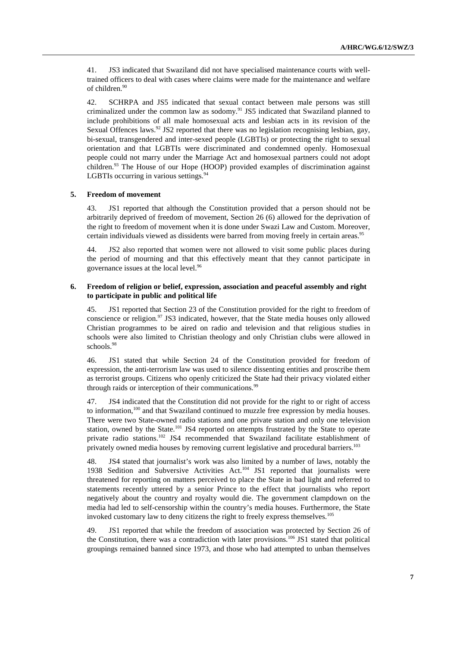41. JS3 indicated that Swaziland did not have specialised maintenance courts with welltrained officers to deal with cases where claims were made for the maintenance and welfare of children.<sup>90</sup>

42. SCHRPA and JS5 indicated that sexual contact between male persons was still criminalized under the common law as sodomy.<sup>91</sup> JS5 indicated that Swaziland planned to include prohibitions of all male homosexual acts and lesbian acts in its revision of the Sexual Offences laws.<sup>92</sup> JS2 reported that there was no legislation recognising lesbian, gay, bi-sexual, transgendered and inter-sexed people (LGBTIs) or protecting the right to sexual orientation and that LGBTIs were discriminated and condemned openly. Homosexual people could not marry under the Marriage Act and homosexual partners could not adopt children.<sup>93</sup> The House of our Hope (HOOP) provided examples of discrimination against LGBTIs occurring in various settings. $94$ 

#### **5. Freedom of movement**

43. JS1 reported that although the Constitution provided that a person should not be arbitrarily deprived of freedom of movement, Section 26 (6) allowed for the deprivation of the right to freedom of movement when it is done under Swazi Law and Custom. Moreover, certain individuals viewed as dissidents were barred from moving freely in certain areas.<sup>95</sup>

44. JS2 also reported that women were not allowed to visit some public places during the period of mourning and that this effectively meant that they cannot participate in governance issues at the local level.<sup>96</sup>

## **6. Freedom of religion or belief, expression, association and peaceful assembly and right to participate in public and political life**

45. JS1 reported that Section 23 of the Constitution provided for the right to freedom of conscience or religion.<sup>97</sup> JS3 indicated, however, that the State media houses only allowed Christian programmes to be aired on radio and television and that religious studies in schools were also limited to Christian theology and only Christian clubs were allowed in schools.<sup>98</sup>

46. JS1 stated that while Section 24 of the Constitution provided for freedom of expression, the anti-terrorism law was used to silence dissenting entities and proscribe them as terrorist groups. Citizens who openly criticized the State had their privacy violated either through raids or interception of their communications.<sup>99</sup>

47. JS4 indicated that the Constitution did not provide for the right to or right of access to information,<sup>100</sup> and that Swaziland continued to muzzle free expression by media houses. There were two State-owned radio stations and one private station and only one television station, owned by the State.<sup>101</sup> JS4 reported on attempts frustrated by the State to operate private radio stations.<sup>102</sup> JS4 recommended that Swaziland facilitate establishment of privately owned media houses by removing current legislative and procedural barriers.<sup>103</sup>

48. JS4 stated that journalist's work was also limited by a number of laws, notably the 1938 Sedition and Subversive Activities Act.<sup>104</sup> JS1 reported that journalists were threatened for reporting on matters perceived to place the State in bad light and referred to statements recently uttered by a senior Prince to the effect that journalists who report negatively about the country and royalty would die. The government clampdown on the media had led to self-censorship within the country's media houses. Furthermore, the State invoked customary law to deny citizens the right to freely express themselves.<sup>105</sup>

49. JS1 reported that while the freedom of association was protected by Section 26 of the Constitution, there was a contradiction with later provisions.<sup>106</sup> JS1 stated that political groupings remained banned since 1973, and those who had attempted to unban themselves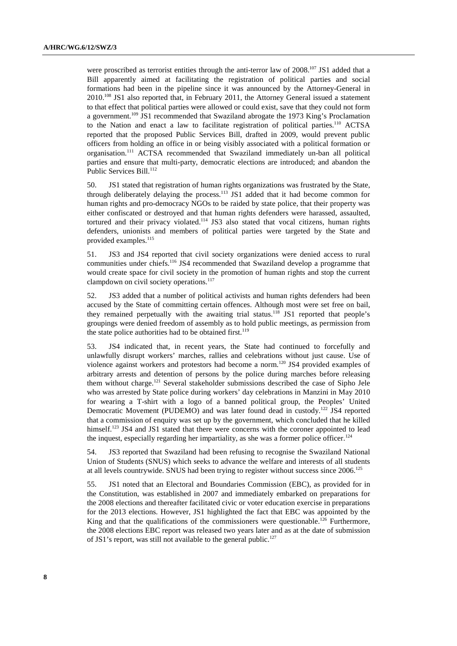were proscribed as terrorist entities through the anti-terror law of 2008.<sup>107</sup> JS1 added that a Bill apparently aimed at facilitating the registration of political parties and social formations had been in the pipeline since it was announced by the Attorney-General in 2010.<sup>108</sup> JS1 also reported that, in February 2011, the Attorney General issued a statement to that effect that political parties were allowed or could exist, save that they could not form a government.<sup>109</sup> JS1 recommended that Swaziland abrogate the 1973 King's Proclamation to the Nation and enact a law to facilitate registration of political parties.<sup>110</sup> ACTSA reported that the proposed Public Services Bill, drafted in 2009, would prevent public officers from holding an office in or being visibly associated with a political formation or organisation.<sup>111</sup> ACTSA recommended that Swaziland immediately un-ban all political parties and ensure that multi-party, democratic elections are introduced; and abandon the Public Services Bill.<sup>112</sup>

50. JS1 stated that registration of human rights organizations was frustrated by the State, through deliberately delaying the process.<sup>113</sup> JS1 added that it had become common for human rights and pro-democracy NGOs to be raided by state police, that their property was either confiscated or destroyed and that human rights defenders were harassed, assaulted, tortured and their privacy violated.<sup>114</sup> JS3 also stated that vocal citizens, human rights defenders, unionists and members of political parties were targeted by the State and provided examples.<sup>115</sup>

51. JS3 and JS4 reported that civil society organizations were denied access to rural communities under chiefs.<sup>116</sup> JS4 recommended that Swaziland develop a programme that would create space for civil society in the promotion of human rights and stop the current clampdown on civil society operations.<sup>117</sup>

52. JS3 added that a number of political activists and human rights defenders had been accused by the State of committing certain offences. Although most were set free on bail, they remained perpetually with the awaiting trial status.<sup>118</sup> JS1 reported that people's groupings were denied freedom of assembly as to hold public meetings, as permission from the state police authorities had to be obtained first.<sup>119</sup>

53. JS4 indicated that, in recent years, the State had continued to forcefully and unlawfully disrupt workers' marches, rallies and celebrations without just cause. Use of violence against workers and protestors had become a norm.<sup>120</sup> JS4 provided examples of arbitrary arrests and detention of persons by the police during marches before releasing them without charge.<sup>121</sup> Several stakeholder submissions described the case of Sipho Jele who was arrested by State police during workers' day celebrations in Manzini in May 2010 for wearing a T-shirt with a logo of a banned political group, the Peoples' United Democratic Movement (PUDEMO) and was later found dead in custody.<sup>122</sup> JS4 reported that a commission of enquiry was set up by the government, which concluded that he killed himself.<sup>123</sup> JS4 and JS1 stated that there were concerns with the coroner appointed to lead the inquest, especially regarding her impartiality, as she was a former police officer.<sup>124</sup>

54. JS3 reported that Swaziland had been refusing to recognise the Swaziland National Union of Students (SNUS) which seeks to advance the welfare and interests of all students at all levels countrywide. SNUS had been trying to register without success since 2006.<sup>125</sup>

55. JS1 noted that an Electoral and Boundaries Commission (EBC), as provided for in the Constitution, was established in 2007 and immediately embarked on preparations for the 2008 elections and thereafter facilitated civic or voter education exercise in preparations for the 2013 elections. However, JS1 highlighted the fact that EBC was appointed by the King and that the qualifications of the commissioners were questionable.<sup>126</sup> Furthermore, the 2008 elections EBC report was released two years later and as at the date of submission of JS1's report, was still not available to the general public.<sup>127</sup>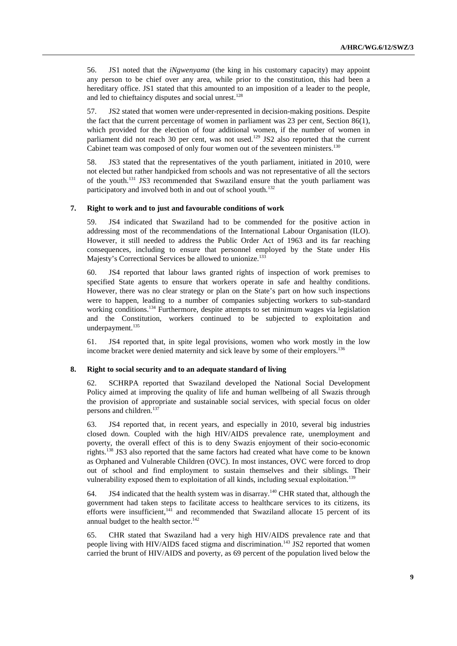56. JS1 noted that the *iNgwenyama* (the king in his customary capacity) may appoint any person to be chief over any area, while prior to the constitution, this had been a hereditary office. JS1 stated that this amounted to an imposition of a leader to the people, and led to chieftaincy disputes and social unrest. $128$ 

57. JS2 stated that women were under-represented in decision-making positions. Despite the fact that the current percentage of women in parliament was 23 per cent, Section 86(1), which provided for the election of four additional women, if the number of women in parliament did not reach 30 per cent, was not used.<sup>129</sup> JS2 also reported that the current Cabinet team was composed of only four women out of the seventeen ministers.<sup>130</sup>

58. JS3 stated that the representatives of the youth parliament, initiated in 2010, were not elected but rather handpicked from schools and was not representative of all the sectors of the youth.<sup>131</sup> JS3 recommended that Swaziland ensure that the youth parliament was participatory and involved both in and out of school youth.<sup>132</sup>

### **7. Right to work and to just and favourable conditions of work**

59. JS4 indicated that Swaziland had to be commended for the positive action in addressing most of the recommendations of the International Labour Organisation (ILO). However, it still needed to address the Public Order Act of 1963 and its far reaching consequences, including to ensure that personnel employed by the State under His Majesty's Correctional Services be allowed to unionize.<sup>133</sup>

60. JS4 reported that labour laws granted rights of inspection of work premises to specified State agents to ensure that workers operate in safe and healthy conditions. However, there was no clear strategy or plan on the State's part on how such inspections were to happen, leading to a number of companies subjecting workers to sub-standard working conditions.<sup>134</sup> Furthermore, despite attempts to set minimum wages via legislation and the Constitution, workers continued to be subjected to exploitation and underpayment.<sup>135</sup>

61. JS4 reported that, in spite legal provisions, women who work mostly in the low income bracket were denied maternity and sick leave by some of their employers.<sup>136</sup>

#### **8. Right to social security and to an adequate standard of living**

62. SCHRPA reported that Swaziland developed the National Social Development Policy aimed at improving the quality of life and human wellbeing of all Swazis through the provision of appropriate and sustainable social services, with special focus on older persons and children.<sup>137</sup>

63. JS4 reported that, in recent years, and especially in 2010, several big industries closed down. Coupled with the high HIV/AIDS prevalence rate, unemployment and poverty, the overall effect of this is to deny Swazis enjoyment of their socio-economic rights.<sup>138</sup> JS3 also reported that the same factors had created what have come to be known as Orphaned and Vulnerable Children (OVC). In most instances, OVC were forced to drop out of school and find employment to sustain themselves and their siblings. Their vulnerability exposed them to exploitation of all kinds, including sexual exploitation.<sup>139</sup>

64. JS4 indicated that the health system was in disarray.<sup>140</sup> CHR stated that, although the government had taken steps to facilitate access to healthcare services to its citizens, its efforts were insufficient, $141$  and recommended that Swaziland allocate 15 percent of its annual budget to the health sector.<sup>142</sup>

65. CHR stated that Swaziland had a very high HIV/AIDS prevalence rate and that people living with HIV/AIDS faced stigma and discrimination.<sup>143</sup> JS2 reported that women carried the brunt of HIV/AIDS and poverty, as 69 percent of the population lived below the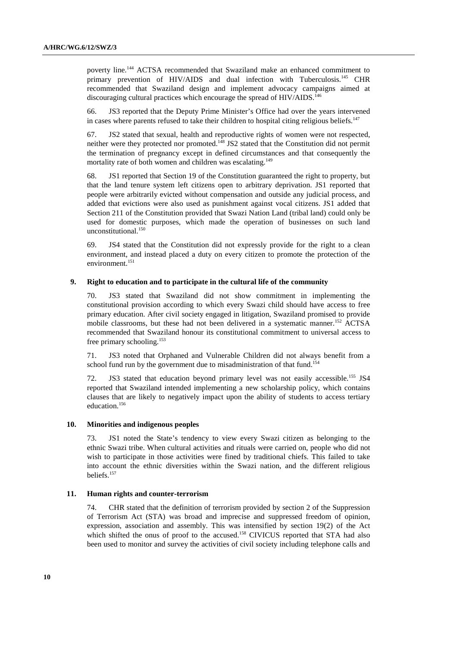poverty line.<sup>144</sup> ACTSA recommended that Swaziland make an enhanced commitment to primary prevention of HIV/AIDS and dual infection with Tuberculosis.<sup>145</sup> CHR recommended that Swaziland design and implement advocacy campaigns aimed at discouraging cultural practices which encourage the spread of HIV/AIDS.<sup>146</sup>

66. JS3 reported that the Deputy Prime Minister's Office had over the years intervened in cases where parents refused to take their children to hospital citing religious beliefs.<sup>147</sup>

67. JS2 stated that sexual, health and reproductive rights of women were not respected, neither were they protected nor promoted.<sup>148</sup> JS2 stated that the Constitution did not permit the termination of pregnancy except in defined circumstances and that consequently the mortality rate of both women and children was escalating.<sup>149</sup>

68. JS1 reported that Section 19 of the Constitution guaranteed the right to property, but that the land tenure system left citizens open to arbitrary deprivation. JS1 reported that people were arbitrarily evicted without compensation and outside any judicial process, and added that evictions were also used as punishment against vocal citizens. JS1 added that Section 211 of the Constitution provided that Swazi Nation Land (tribal land) could only be used for domestic purposes, which made the operation of businesses on such land unconstitutional.<sup>150</sup>

69. JS4 stated that the Constitution did not expressly provide for the right to a clean environment, and instead placed a duty on every citizen to promote the protection of the environment.<sup>151</sup>

#### **9. Right to education and to participate in the cultural life of the community**

70. JS3 stated that Swaziland did not show commitment in implementing the constitutional provision according to which every Swazi child should have access to free primary education. After civil society engaged in litigation, Swaziland promised to provide mobile classrooms, but these had not been delivered in a systematic manner.<sup>152</sup> ACTSA recommended that Swaziland honour its constitutional commitment to universal access to free primary schooling.<sup>153</sup>

71. JS3 noted that Orphaned and Vulnerable Children did not always benefit from a school fund run by the government due to misadministration of that fund.<sup>154</sup>

72. JS3 stated that education beyond primary level was not easily accessible.<sup>155</sup> JS4 reported that Swaziland intended implementing a new scholarship policy, which contains clauses that are likely to negatively impact upon the ability of students to access tertiary education.<sup>156</sup>

## **10. Minorities and indigenous peoples**

73. JS1 noted the State's tendency to view every Swazi citizen as belonging to the ethnic Swazi tribe. When cultural activities and rituals were carried on, people who did not wish to participate in those activities were fined by traditional chiefs. This failed to take into account the ethnic diversities within the Swazi nation, and the different religious beliefs.<sup>157</sup>

### **11. Human rights and counter-terrorism**

74. CHR stated that the definition of terrorism provided by section 2 of the Suppression of Terrorism Act (STA) was broad and imprecise and suppressed freedom of opinion, expression, association and assembly. This was intensified by section 19(2) of the Act which shifted the onus of proof to the accused.<sup>158</sup> CIVICUS reported that STA had also been used to monitor and survey the activities of civil society including telephone calls and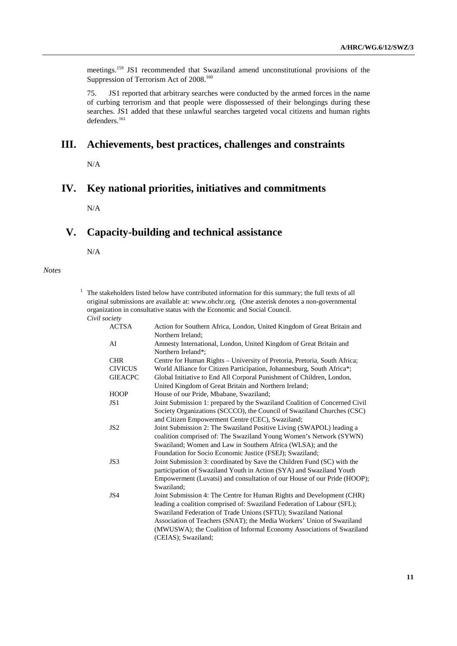meetings.<sup>159</sup> JS1 recommended that Swaziland amend unconstitutional provisions of the Suppression of Terrorism Act of 2008.<sup>160</sup>

75. JS1 reported that arbitrary searches were conducted by the armed forces in the name of curbing terrorism and that people were dispossessed of their belongings during these searches. JS1 added that these unlawful searches targeted vocal citizens and human rights defenders.<sup>161</sup>

# **III. Achievements, best practices, challenges and constraints**

N/A

# **IV. Key national priorities, initiatives and commitments**

N/A

# **V. Capacity-building and technical assistance**

N/A

*Notes* 

 $1$  The stakeholders listed below have contributed information for this summary; the full texts of all original submissions are available at: www.ohchr.org. (One asterisk denotes a non-governmental organization in consultative status with the Economic and Social Council.  *Civil society* 

| <b>ACTSA</b>    | Action for Southern Africa, London, United Kingdom of Great Britain and    |
|-----------------|----------------------------------------------------------------------------|
|                 | Northern Ireland:                                                          |
| AI              | Amnesty International, London, United Kingdom of Great Britain and         |
|                 | Northern Ireland*;                                                         |
| <b>CHR</b>      | Centre for Human Rights - University of Pretoria, Pretoria, South Africa;  |
| <b>CIVICUS</b>  | World Alliance for Citizen Participation, Johannesburg, South Africa*;     |
| <b>GIEACPC</b>  | Global Initiative to End All Corporal Punishment of Children, London,      |
|                 | United Kingdom of Great Britain and Northern Ireland;                      |
| <b>HOOP</b>     | House of our Pride, Mbabane, Swaziland;                                    |
| JS <sub>1</sub> | Joint Submission 1: prepared by the Swaziland Coalition of Concerned Civil |
|                 | Society Organizations (SCCCO), the Council of Swaziland Churches (CSC)     |
|                 | and Citizen Empowerment Centre (CEC), Swaziland;                           |
| JS <sub>2</sub> | Joint Submission 2: The Swaziland Positive Living (SWAPOL) leading a       |
|                 | coalition comprised of: The Swaziland Young Women's Network (SYWN)         |
|                 | Swaziland; Women and Law in Southern Africa (WLSA); and the                |
|                 | Foundation for Socio Economic Justice (FSEJ); Swaziland;                   |
| JS3             | Joint Submission 3: coordinated by Save the Children Fund (SC) with the    |
|                 | participation of Swaziland Youth in Action (SYA) and Swaziland Youth       |
|                 | Empowerment (Luvatsi) and consultation of our House of our Pride (HOOP);   |
|                 | Swaziland:                                                                 |
| JS4             | Joint Submission 4: The Centre for Human Rights and Development (CHR)      |
|                 | leading a coalition comprised of: Swaziland Federation of Labour (SFL);    |
|                 | Swaziland Federation of Trade Unions (SFTU); Swaziland National            |
|                 | Association of Teachers (SNAT); the Media Workers' Union of Swaziland      |
|                 | (MWUSWA); the Coalition of Informal Economy Associations of Swaziland      |
|                 | (CEIAS); Swaziland;                                                        |
|                 |                                                                            |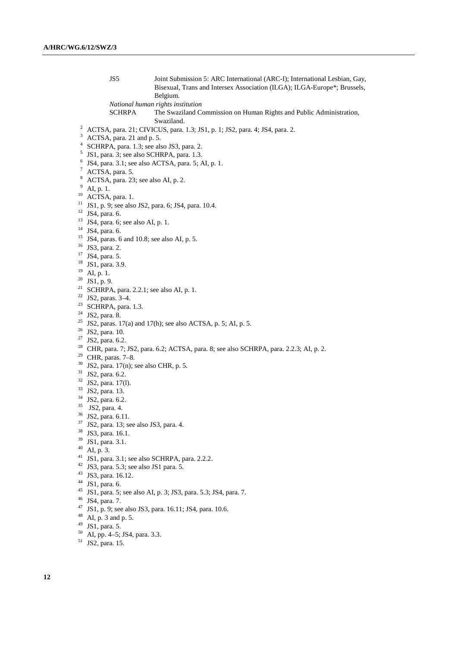JS5 Joint Submission 5: ARC International (ARC-I); International Lesbian, Gay, Bisexual, Trans and Intersex Association (ILGA); ILGA-Europe\*; Brussels, Belgium.

*National human rights institution* 

SCHRPA The Swaziland Commission on Human Rights and Public Administration, Swaziland.

- ACTSA, para. 21; CIVICUS, para. 1.3; JS1, p. 1; JS2, para. 4; JS4, para. 2.
- ACTSA, para. 21 and p. 5.
- SCHRPA, para. 1.3; see also JS3, para. 2.
- JS1, para. 3; see also SCHRPA, para. 1.3.
- JS4, para. 3.1; see also ACTSA, para. 5; AI, p. 1.
- <sup>7</sup> ACTSA, para. 5.
- ACTSA, para. 23; see also AI, p. 2.
- $^{9}$  AI, p. 1.
- $^{10}$  ACTSA, para. 1.
- JS1, p. 9; see also JS2, para. 6; JS4, para. 10.4.
- JS4, para. 6.
- JS4, para. 6; see also AI, p. 1.
- JS4, para. 6.
- JS4, paras. 6 and 10.8; see also AI, p. 5.
- JS3, para. 2.
- JS4, para. 5.
- JS1, para. 3.9.
- AI, p. 1.
- JS1, p. 9.
- <sup>21</sup> SCHRPA, para. 2.2.1; see also AI, p. 1.
- JS2, paras. 3–4.
- <sup>23</sup> SCHRPA, para. 1.3.
- JS2, para. 8.
- <sup>25</sup> JS2, paras. 17(a) and 17(h); see also ACTSA, p. 5; AI, p. 5.
- JS2, para. 10.
- <sup>27</sup> JS2, para. 6.2.
- CHR, para. 7; JS2, para. 6.2; ACTSA, para. 8; see also SCHRPA, para. 2.2.3; AI, p. 2.
- CHR, paras. 7–8.
- JS2, para. 17(n); see also CHR, p. 5.
- <sup>31</sup> JS2, para. 6.2.
- JS2, para. 17(l).
- JS2, para. 13.
- JS2, para. 6.2.
- JS2, para. 4.
- JS2, para. 6.11.
- JS2, para. 13; see also JS3, para. 4.
- <sup>38</sup> JS3, para. 16.1.
- JS1, para. 3.1.
- AI, p. 3.
- JS1, para. 3.1; see also SCHRPA, para. 2.2.2.
- JS3, para. 5.3; see also JS1 para. 5.
- 
- JS3, para. 16.12.
- JS1, para. 6.
- JS1, para. 5; see also AI, p. 3; JS3, para. 5.3; JS4, para. 7.
- JS4, para. 7.
- JS1, p. 9; see also JS3, para. 16.11; JS4, para. 10.6.
- AI, p. 3 and p. 5.
- JS1, para. 5.
- AI, pp. 4–5; JS4, para. 3.3.
- JS2, para. 15.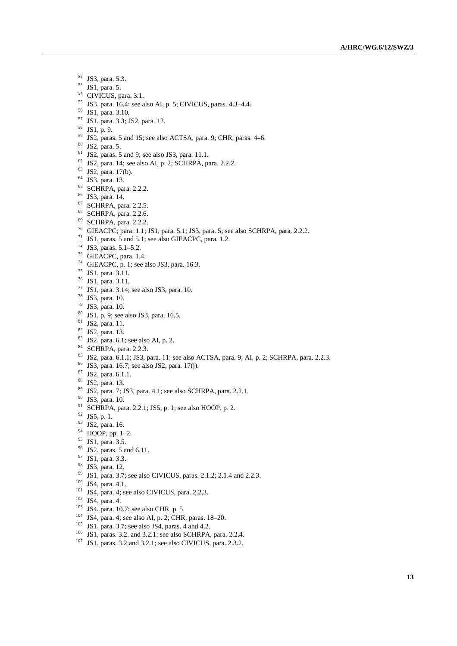- JS3, para. 5.3.
- JS1, para. 5.
- <sup>54</sup> CIVICUS, para. 3.1.
- JS3, para. 16.4; see also AI, p. 5; CIVICUS, paras. 4.3–4.4.
- JS1, para. 3.10.
- JS1, para. 3.3; JS2, para. 12.
- JS1, p. 9.
- JS2, paras. 5 and 15; see also ACTSA, para. 9; CHR, paras. 4–6.
- JS2, para. 5.
- JS2, paras. 5 and 9; see also JS3, para. 11.1.
- JS2, para. 14; see also AI, p. 2; SCHRPA, para. 2.2.2.
- JS2, para. 17(b).
- JS3, para. 13.
- SCHRPA, para. 2.2.2.
- JS3, para. 14.
- SCHRPA, para. 2.2.5.
- SCHRPA, para. 2.2.6.
- SCHRPA, para. 2.2.2.
- GIEACPC; para. 1.1; JS1, para. 5.1; JS3, para. 5; see also SCHRPA, para. 2.2.2.
- <sup>71</sup> JS1, paras. 5 and 5.1; see also GIEACPC, para. 1.2.
- JS3, paras. 5.1–5.2.
- GIEACPC, para. 1.4.
- GIEACPC, p. 1; see also JS3, para. 16.3.
- JS1, para. 3.11.
- JS1, para. 3.11.
- JS1, para. 3.14; see also JS3, para. 10.
- JS3, para. 10.
- JS3, para. 10.
- JS1, p. 9; see also JS3, para. 16.5.
- JS2, para. 11.
- JS2, para. 13.
- JS2, para. 6.1; see also AI, p. 2.
- SCHRPA, para. 2.2.3.
- 85 JS2, para. 6.1.1; JS3, para. 11; see also ACTSA, para. 9; AI, p. 2; SCHRPA, para. 2.2.3.
- JS3, para. 16.7; see also JS2, para. 17(j).
- JS2, para. 6.1.1.
- JS2, para. 13.
- JS2, para. 7; JS3, para. 4.1; see also SCHRPA, para. 2.2.1.
- JS3, para. 10.
- <sup>91</sup> SCHRPA, para. 2.2.1; JS5, p. 1; see also HOOP, p. 2.
- JS5, p. 1.
- JS2, para. 16.
- HOOP, pp. 1–2.
- <sup>95</sup> JS1, para. 3.5.
- <sup>96</sup> JS2, paras. 5 and 6.11.
- JS1, para. 3.3.
- JS3, para. 12.
- JS1, para. 3.7; see also CIVICUS, paras. 2.1.2; 2.1.4 and 2.2.3.
- <sup>100</sup> JS4, para. 4.1.
- <sup>101</sup> JS4, para. 4; see also CIVICUS, para. 2.2.3.
- JS4, para. 4.
- JS4, para. 10.7; see also CHR, p. 5.
- JS4, para. 4; see also AI, p. 2; CHR, paras. 18–20.
- JS1, para. 3.7; see also JS4, paras. 4 and 4.2.
- JS1, paras. 3.2. and 3.2.1; see also SCHRPA, para. 2.2.4.
- JS1, paras. 3.2 and 3.2.1; see also CIVICUS, para. 2.3.2.